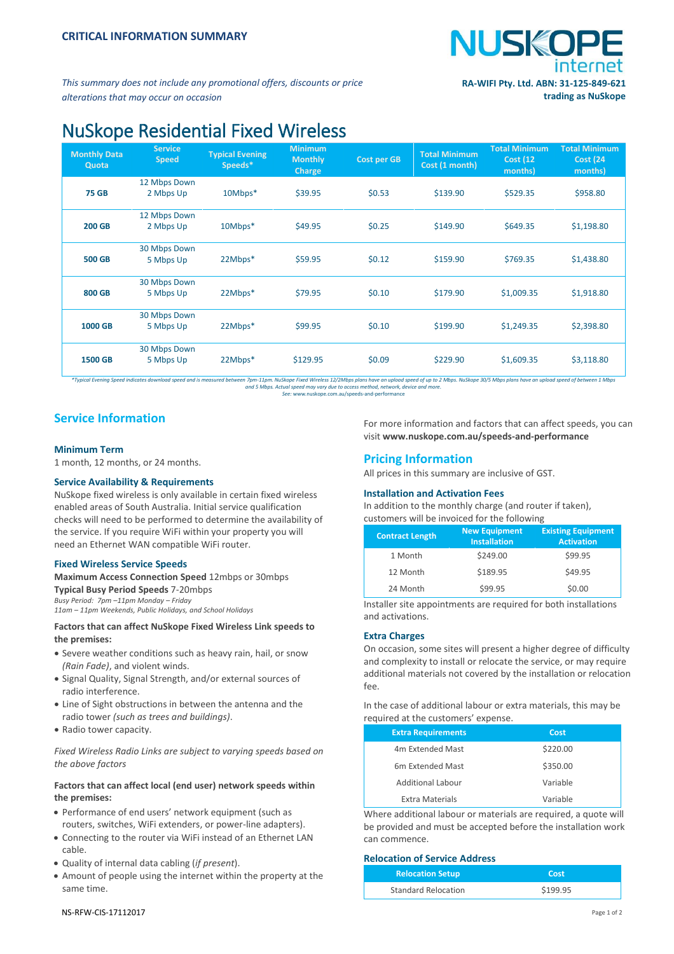

*This summary does not include any promotional offers, discounts or price alterations that may occur on occasion*

# NuSkope Residential Fixed Wireless

| <b>Monthly Data</b><br>Quota | <b>Service</b><br><b>Speed</b> | <b>Typical Evening</b><br>Speeds* | <b>Minimum</b><br><b>Monthly</b><br>Charge | <b>Cost per GB</b> | <b>Total Minimum</b><br>Cost (1 month) | <b>Total Minimum</b><br><b>Cost (12)</b><br>months) | <b>Total Minimum</b><br><b>Cost (24)</b><br>months) |
|------------------------------|--------------------------------|-----------------------------------|--------------------------------------------|--------------------|----------------------------------------|-----------------------------------------------------|-----------------------------------------------------|
| <b>75 GB</b>                 | 12 Mbps Down<br>2 Mbps Up      | 10Mbps*                           | \$39.95                                    | \$0.53             | \$139.90                               | \$529.35                                            | \$958.80                                            |
| <b>200 GB</b>                | 12 Mbps Down<br>2 Mbps Up      | 10Mbps*                           | \$49.95                                    | \$0.25             | \$149.90                               | \$649.35                                            | \$1,198.80                                          |
| <b>500 GB</b>                | 30 Mbps Down<br>5 Mbps Up      | 22Mbps*                           | \$59.95                                    | \$0.12             | \$159.90                               | \$769.35                                            | \$1,438.80                                          |
| 800 GB                       | 30 Mbps Down<br>5 Mbps Up      | 22Mbps*                           | \$79.95                                    | \$0.10             | \$179.90                               | \$1,009.35                                          | \$1,918.80                                          |
| <b>1000 GB</b>               | 30 Mbps Down<br>5 Mbps Up      | 22Mbps*                           | \$99.95                                    | \$0.10             | \$199.90                               | \$1,249.35                                          | \$2,398.80                                          |
| <b>1500 GB</b>               | 30 Mbps Down<br>5 Mbps Up      | 22Mbps*                           | \$129.95                                   | \$0.09             | \$229.90                               | \$1,609.35                                          | \$3,118.80                                          |

Typical Evening Speed indicates download speed and is measured between 7pm-11pm. NuSkope Fixed Wireless 12/2Mbps plans have an upload speed of up to 2 Mbps. NuSkope 30/5 Mbps plans have an upload speed of between 1 Mbps an

## **Service Information**

#### **Minimum Term**

1 month, 12 months, or 24 months.

#### **Service Availability & Requirements**

NuSkope fixed wireless is only available in certain fixed wireless enabled areas of South Australia. Initial service qualification checks will need to be performed to determine the availability of the service. If you require WiFi within your property you will need an Ethernet WAN compatible WiFi router.

#### **Fixed Wireless Service Speeds**

**Maximum Access Connection Speed** 12mbps or 30mbps **Typical Busy Period Speeds** 7-20mbps *Busy Period: 7pm –11pm Monday – Friday 11am – 11pm Weekends, Public Holidays, and School Holidays*

#### **Factors that can affect NuSkope Fixed Wireless Link speeds to the premises:**

- Severe weather conditions such as heavy rain, hail, or snow *(Rain Fade)*, and violent winds.
- Signal Quality, Signal Strength, and/or external sources of radio interference.
- Line of Sight obstructions in between the antenna and the radio tower *(such as trees and buildings)*.
- Radio tower capacity.

*Fixed Wireless Radio Links are subject to varying speeds based on the above factors*

#### **Factors that can affect local (end user) network speeds within the premises:**

- Performance of end users' network equipment (such as routers, switches, WiFi extenders, or power-line adapters).
- Connecting to the router via WiFi instead of an Ethernet LAN cable.
- Quality of internal data cabling (*if present*).
- Amount of people using the internet within the property at the same time.

For more information and factors that can affect speeds, you can visit **[www.nuskope.com.au/speeds-and-performance](http://www.nuskope.com.au/speeds-and-performance)**

### **Pricing Information**

All prices in this summary are inclusive of GST.

#### **Installation and Activation Fees**

In addition to the monthly charge (and router if taken), customers will be invoiced for the following

| <b>Contract Length</b> | <b>New Equipment</b><br><b>Installation</b> | <b>Existing Equipment</b><br><b>Activation</b> |
|------------------------|---------------------------------------------|------------------------------------------------|
| 1 Month                | \$249.00                                    | \$99.95                                        |
| 12 Month               | \$189.95                                    | \$49.95                                        |
| 24 Month               | \$99.95                                     | \$0.00                                         |
|                        |                                             |                                                |

Installer site appointments are required for both installations and activations.

#### **Extra Charges**

On occasion, some sites will present a higher degree of difficulty and complexity to install or relocate the service, or may require additional materials not covered by the installation or relocation fee.

In the case of additional labour or extra materials, this may be required at the customers' expense.

| <b>Extra Requirements</b>    | Cost     |
|------------------------------|----------|
| 4m Extended Mast             | \$220.00 |
| 6 <sub>m</sub> Extended Mast | \$350.00 |
| Additional Labour            | Variable |
| Extra Materials              | Variable |

Where additional labour or materials are required, a quote will be provided and must be accepted before the installation work can commence.

#### **Relocation of Service Address**

| <b>Relocation Setup</b>    | Cost     |
|----------------------------|----------|
| <b>Standard Relocation</b> | \$199.95 |